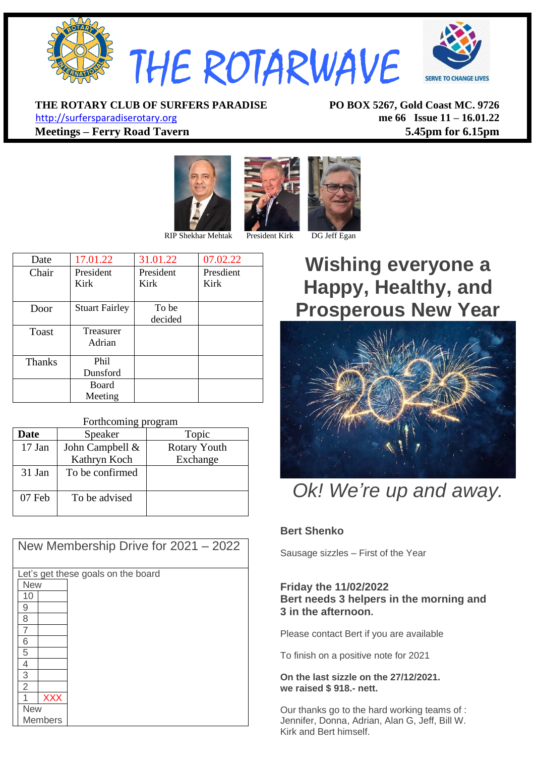

**ERVE TO CHANGE LIVES** 

**THE ROTARY CLUB OF SURFERS PARADISE PO BOX 5267, Gold Coast MC. 9726** [http://surfersparadiserotary.org](http://surfersparadiserotary.org/) **me 66 Issue 11 – 16.01.22 Meetings – Ferry Road Tavern 5.45pm for 6.15pm**





RIP Shekhar Mehtak President Kirk DG Jeff Egan

| Date          | 17.01.22              | 31.01.22  | 07.02.22  |
|---------------|-----------------------|-----------|-----------|
| Chair         | President             | President | Presdient |
|               | Kirk                  | Kirk      | Kirk      |
|               |                       |           |           |
| Door          | <b>Stuart Fairley</b> | To be     |           |
|               |                       | decided   |           |
| Toast         | Treasurer             |           |           |
|               | Adrian                |           |           |
|               |                       |           |           |
| <b>Thanks</b> | <b>Phil</b>           |           |           |
|               | Dunsford              |           |           |
|               | <b>Board</b>          |           |           |
|               | Meeting               |           |           |

#### Forthcoming program

| Date   | Speaker         | Topic               |
|--------|-----------------|---------------------|
| 17 Jan | John Campbell & | <b>Rotary Youth</b> |
|        | Kathryn Koch    | Exchange            |
| 31 Jan | To be confirmed |                     |
|        |                 |                     |
| 07 Feb | To be advised   |                     |
|        |                 |                     |

| New Membership Drive for $2021 - 2022$ |  |  |  |  |
|----------------------------------------|--|--|--|--|
| Let's get these goals on the board     |  |  |  |  |
| <b>New</b>                             |  |  |  |  |
| 10                                     |  |  |  |  |
| 9                                      |  |  |  |  |
| 8                                      |  |  |  |  |
|                                        |  |  |  |  |
| 6                                      |  |  |  |  |
| 5                                      |  |  |  |  |
| 4                                      |  |  |  |  |
| 3                                      |  |  |  |  |
| $\overline{2}$                         |  |  |  |  |
| <b>XXX</b>                             |  |  |  |  |
| <b>New</b>                             |  |  |  |  |
| <b>Members</b>                         |  |  |  |  |

# **Wishing everyone a Happy, Healthy, and Prosperous New Year**



*Ok! We're up and away.*

#### **Bert Shenko**

Sausage sizzles – First of the Year

#### **Friday the 11/02/2022 Bert needs 3 helpers in the morning and 3 in the afternoon.**

Please contact Bert if you are available

To finish on a positive note for 2021

**On the last sizzle on the 27/12/2021. we raised \$ 918.- nett.**

Our thanks go to the hard working teams of : Jennifer, Donna, Adrian, Alan G, Jeff, Bill W. Kirk and Bert himself.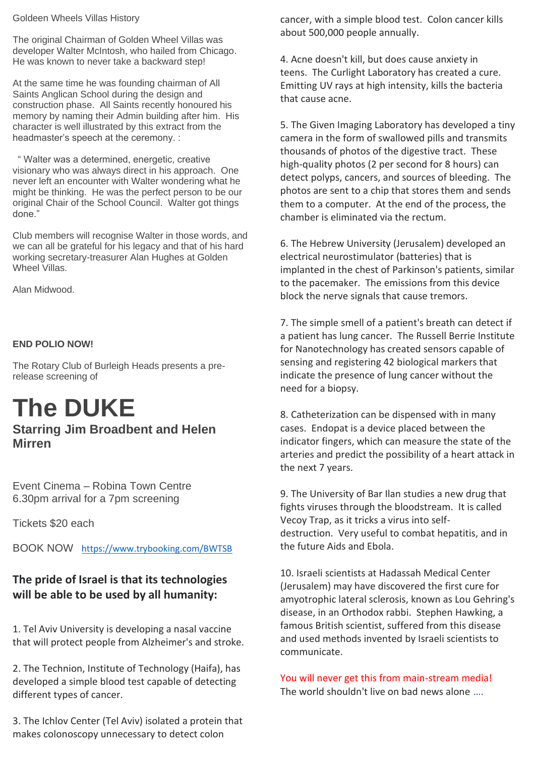Goldeen Wheels Villas History

The original Chairman of Golden Wheel Villas was developer Walter McIntosh, who hailed from Chicago. He was known to never take a backward step!

At the same time he was founding chairman of All Saints Anglican School during the design and construction phase. All Saints recently honoured his memory by naming their Admin building after him. His character is well illustrated by this extract from the headmaster's speech at the ceremony. :

" Walter was a determined, energetic, creative visionary who was always direct in his approach. One never left an encounter with Walter wondering what he might be thinking. He was the perfect person to be our original Chair of the School Council. Walter got things done."

Club members will recognise Walter in those words, and we can all be grateful for his legacy and that of his hard working secretary-treasurer Alan Hughes at Golden Wheel Villas.

Alan Midwood.

#### **END POLIO NOW!**

The Rotary Club of Burleigh Heads presents a prerelease screening of

## **The DUKE Starring Jim Broadbent and Helen Mirren**

Event Cinema – Robina Town Centre 6.30pm arrival for a 7pm screening

Tickets \$20 each

BOOK NOW <https://www.trybooking.com/BWTSB>

### **The pride of Israel is that its technologies will be able to be used by all humanity:**

1. Tel Aviv University is developing a nasal vaccine that will protect people from Alzheimer's and stroke.

2. The Technion, Institute of Technology (Haifa), has developed a simple blood test capable of detecting different types of cancer.

3. The Ichlov Center (Tel Aviv) isolated a protein that makes colonoscopy unnecessary to detect colon

cancer, with a simple blood test. Colon cancer kills about 500,000 people annually.

4. Acne doesn't kill, but does cause anxiety in teens. The Curlight Laboratory has created a cure. Emitting UV rays at high intensity, kills the bacteria that cause acne.

5. The Given Imaging Laboratory has developed a tiny camera in the form of swallowed pills and transmits thousands of photos of the digestive tract. These high-quality photos (2 per second for 8 hours) can detect polyps, cancers, and sources of bleeding. The photos are sent to a chip that stores them and sends them to a computer. At the end of the process, the chamber is eliminated via the rectum.

6. The Hebrew University (Jerusalem) developed an electrical neurostimulator (batteries) that is implanted in the chest of Parkinson's patients, similar to the pacemaker. The emissions from this device block the nerve signals that cause tremors.

7. The simple smell of a patient's breath can detect if a patient has lung cancer. The Russell Berrie Institute for Nanotechnology has created sensors capable of sensing and registering 42 biological markers that indicate the presence of lung cancer without the need for a biopsy.

8. Catheterization can be dispensed with in many cases. Endopat is a device placed between the indicator fingers, which can measure the state of the arteries and predict the possibility of a heart attack in the next 7 years.

9. The University of Bar Ilan studies a new drug that fights viruses through the bloodstream. It is called Vecoy Trap, as it tricks a virus into selfdestruction. Very useful to combat hepatitis, and in the future Aids and Ebola.

10. Israeli scientists at Hadassah Medical Center (Jerusalem) may have discovered the first cure for amyotrophic lateral sclerosis, known as Lou Gehring's disease, in an Orthodox rabbi. Stephen Hawking, a famous British scientist, suffered from this disease and used methods invented by Israeli scientists to communicate.

You will never get this from main-stream media! The world shouldn't live on bad news alone ….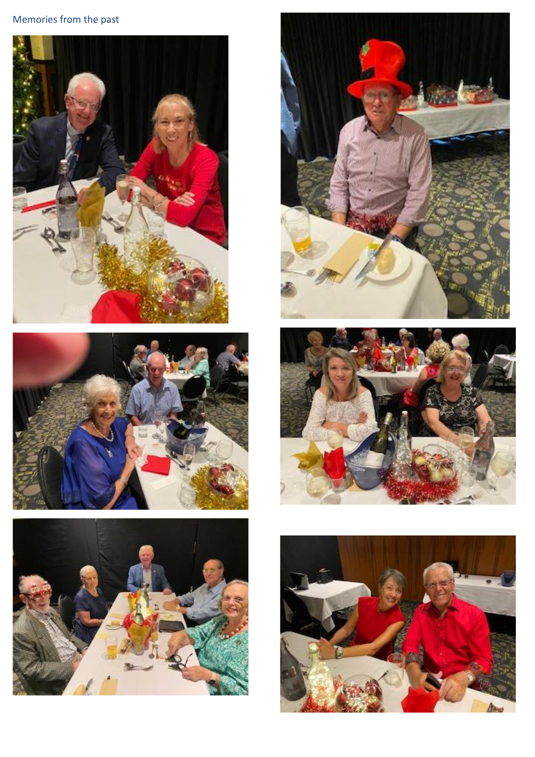## Memories from the past











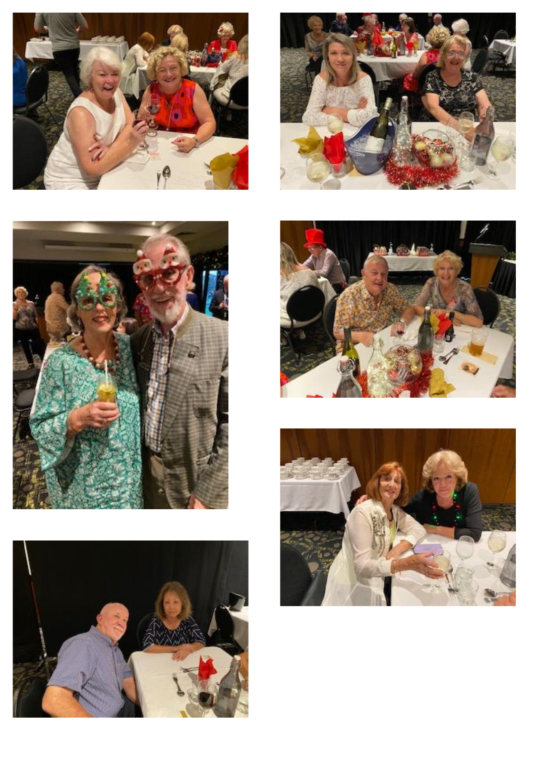